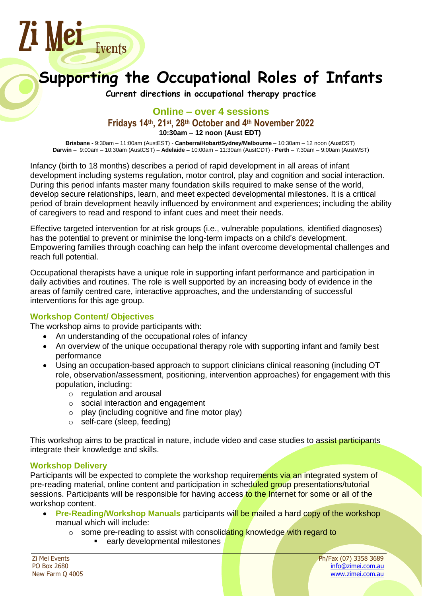

# **Supporting the Occupational Roles of Infants**

**Current directions in occupational therapy practice**

## **Online – over 4 sessions Fridays 14th, 21st , 28th October and 4 th November 2022 10:30am – 12 noon (Aust EDT)**

**Brisbane -** 9:30am – 11:00am (AustEST) - **Canberra/Hobart/Sydney/Melbourne** – 10:30am – 12 noon (AustDST) **Darwin** – 9:00am – 10:30am (AustCST) – **Adelaide –** 10:00am – 11:30am (AustCDT) - **Perth** – 7:30am – 9:00am (AustWST)

Infancy (birth to 18 months) describes a period of rapid development in all areas of infant development including systems regulation, motor control, play and cognition and social interaction. During this period infants master many foundation skills required to make sense of the world, develop secure relationships, learn, and meet expected developmental milestones. It is a critical period of brain development heavily influenced by environment and experiences; including the ability of caregivers to read and respond to infant cues and meet their needs.

Effective targeted intervention for at risk groups (i.e., vulnerable populations, identified diagnoses) has the potential to prevent or minimise the long-term impacts on a child's development. Empowering families through coaching can help the infant overcome developmental challenges and reach full potential.

Occupational therapists have a unique role in supporting infant performance and participation in daily activities and routines. The role is well supported by an increasing body of evidence in the areas of family centred care, interactive approaches, and the understanding of successful interventions for this age group.

## **Workshop Content/ Objectives**

The workshop aims to provide participants with:

- An understanding of the occupational roles of infancy
- An overview of the unique occupational therapy role with supporting infant and family best performance
- Using an occupation-based approach to support clinicians clinical reasoning (including OT role, observation/assessment, positioning, intervention approaches) for engagement with this population, including:
	- o regulation and arousal
	- o social interaction and engagement
	- $\circ$  play (including cognitive and fine motor play)
	- o self-care (sleep, feeding)

This workshop aims to be practical in nature, include video and case studies to assist participants integrate their knowledge and skills.

#### **Workshop Delivery**

Participants will be expected to complete the workshop requirements via an integrated system of pre-reading material, online content and participation in scheduled group presentations/tutorial sessions. Participants will be responsible for having access to the Internet for some or all of the workshop content.

- **Pre-Reading/Workshop Manuals** participants will be mailed a hard copy of the workshop manual which will include:
	- $\circ$  some pre-reading to assist with consolidating knowledge with regard to
		- early developmental milestones